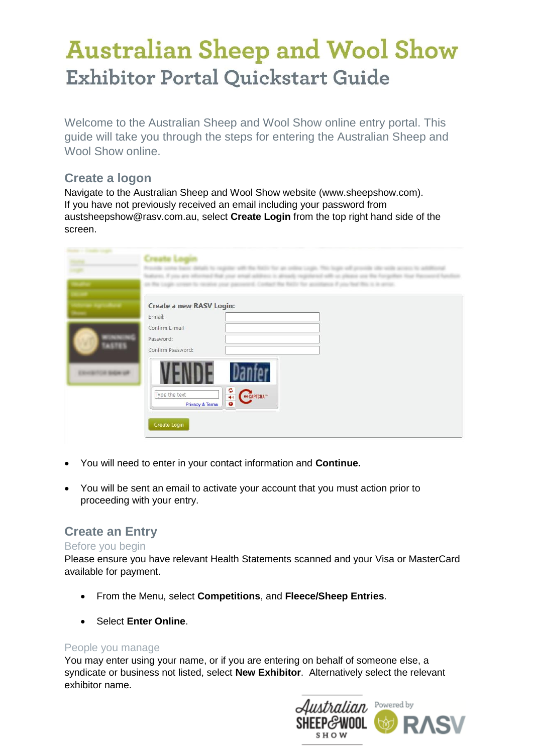# **Australian Sheep and Wool Show Exhibitor Portal Quickstart Guide**

Welcome to the Australian Sheep and Wool Show online entry portal. This guide will take you through the steps for entering the Australian Sheep and Wool Show online.

### **Create a logon**

Navigate to the Australian Sheep and Wool Show website (www.sheepshow.com). If you have not previously received an email including your password from [austsheepshow@rasv.com.au,](mailto:austsheepshow@rasv.com.au) select **Create Login** from the top right hand side of the screen.

|              | allow these thinks in the age |
|--------------|-------------------------------|
|              | Create a new RASV Login:      |
|              | E-mail:                       |
|              | Confirm E-mail                |
|              | Password:                     |
| <b>ASTES</b> | Confirm Password:             |
|              | 4<br>Type the text            |
|              | <b>Privacy &amp; Terms</b>    |
|              | Create Login                  |

- You will need to enter in your contact information and **Continue.**
- You will be sent an email to activate your account that you must action prior to proceeding with your entry.

### **Create an Entry**

#### Before you begin

Please ensure you have relevant Health Statements scanned and your Visa or MasterCard available for payment.

- From the Menu, select **Competitions**, and **Fleece/Sheep Entries**.
- Select **Enter Online**.

#### People you manage

You may enter using your name, or if you are entering on behalf of someone else, a syndicate or business not listed, select **New Exhibitor**. Alternatively select the relevant exhibitor name.

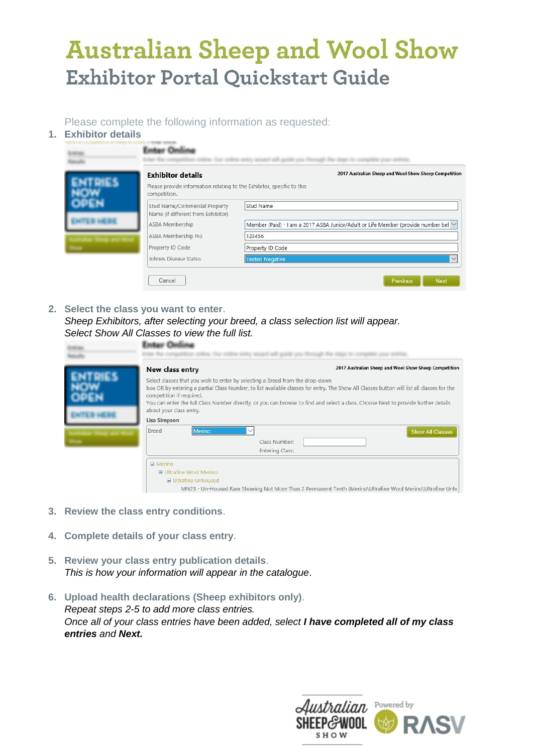# **Australian Sheep and Wool Show Exhibitor Portal Quickstart Guide**

Please complete the following information as requested:

**1. Exhibitor details**

|  | <b>Exhibitor details</b><br>Please provide information relating to the Exhibitor, specific to this | 2017 Australian Sheep and Wool Show Sheep Competition                                   |
|--|----------------------------------------------------------------------------------------------------|-----------------------------------------------------------------------------------------|
|  | competition.<br>Stud Name/Commercial Property<br>Name (if different from Exhibitor)                | Stud Name                                                                               |
|  | ASBA Membership                                                                                    | Member (Paid) - I am a 2017 ASBA Junior/Adult or Life Member (provide number bel $\vee$ |
|  | ASBA Membership No<br>Property ID Code                                                             | 123456<br>Property ID Code                                                              |
|  | Johnes Disease Status                                                                              | <b>Tested Negative</b>                                                                  |

**2. Select the class you want to enter**. *Sheep Exhibitors, after selecting your breed, a class selection list will appear. Select Show All Classes to view the full list.*

| New class entry                                                                                                                                                                                                                                                                                                                                                                                                                         | 2017 Australian Sheep and Wool Show Sheep Competition |  |
|-----------------------------------------------------------------------------------------------------------------------------------------------------------------------------------------------------------------------------------------------------------------------------------------------------------------------------------------------------------------------------------------------------------------------------------------|-------------------------------------------------------|--|
| Select classes that you wish to enter by selecting a Breed from the drop-down<br>box OR by entering a partial Class Number, to list available classes for entry. The Show All Classes button will list all classes for the<br>competition if required.<br>You can enter the full Class Number directly, or you can browse to find and select a class. Choose Next to provide further details<br>about your class entry.<br>Lisa Simpson |                                                       |  |
| Breed<br>Merino<br>Class Number:<br>Entering Class:                                                                                                                                                                                                                                                                                                                                                                                     | <b>Show All Classes</b>                               |  |

- **3. Review the class entry conditions**.
- **4. Complete details of your class entry**.
- **5. Review your class entry publication details**. *This is how your information will appear in the catalogue*.
- **6. Upload health declarations (Sheep exhibitors only)**. *Repeat steps 2-5 to add more class entries. Once all of your class entries have been added, select I have completed all of my class entries and Next.*